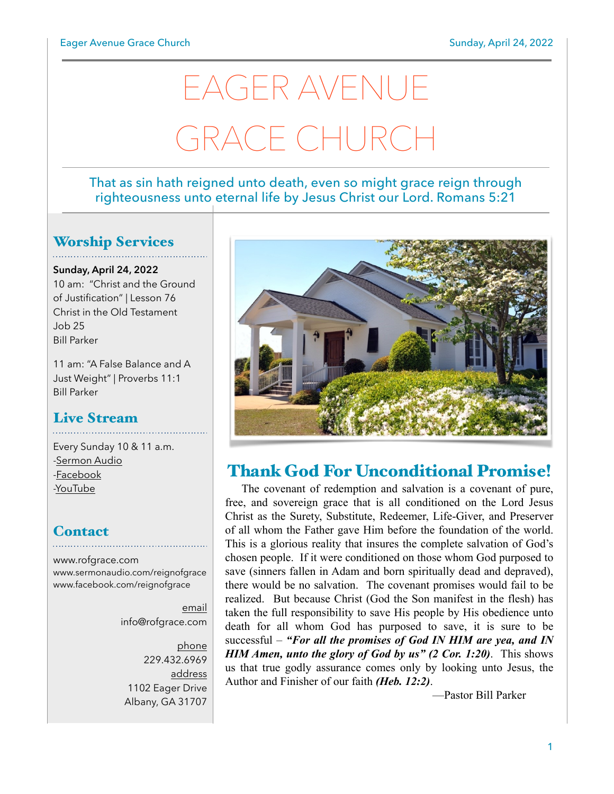# EAGER AVENUE GRACE CHURCH

#### That as sin hath reigned unto death, even so might grace reign through righteousness unto eternal life by Jesus Christ our Lord. Romans 5:21

### Worship Services

**Sunday, April 24, 2022** 10 am: "Christ and the Ground of Justification" | Lesson 76 Christ in the Old Testament Job 25 Bill Parker

11 am: "A False Balance and A Just Weight" | Proverbs 11:1 Bill Parker

#### Live Stream

Every Sunday 10 & 11 a.m. [-Sermon Audio](http://sermonaudio.com/reignofgrace) [-Facebook](http://facebook.com/eageravechurch) [-YouTube](http://youtube.com/channel/UCu_lTHCIUOK0cka9AjFV_5Q/live)

#### **Contact**

[www.rofgrace.com](http://www.rofgrace.com) [www.sermonaudio.com/reignofgrace](http://www.sermonaudio.com/reignofgrace) [www.facebook.com/reignofgrace](http://www.facebook.com/reignofgrace)

> email [info@rofgrace.com](mailto:info@rofgrace.com?subject=)

phone 229.432.6969 address 1102 Eager Drive Albany, GA 31707



# Thank God For Unconditional Promise!

 The covenant of redemption and salvation is a covenant of pure, free, and sovereign grace that is all conditioned on the Lord Jesus Christ as the Surety, Substitute, Redeemer, Life-Giver, and Preserver of all whom the Father gave Him before the foundation of the world. This is a glorious reality that insures the complete salvation of God's chosen people. If it were conditioned on those whom God purposed to save (sinners fallen in Adam and born spiritually dead and depraved), there would be no salvation. The covenant promises would fail to be realized. But because Christ (God the Son manifest in the flesh) has taken the full responsibility to save His people by His obedience unto death for all whom God has purposed to save, it is sure to be successful – *"For all the promises of God IN HIM are yea, and IN HIM Amen, unto the glory of God by us" (2 Cor. 1:20)*. This shows us that true godly assurance comes only by looking unto Jesus, the Author and Finisher of our faith *(Heb. 12:2)*.

—Pastor Bill Parker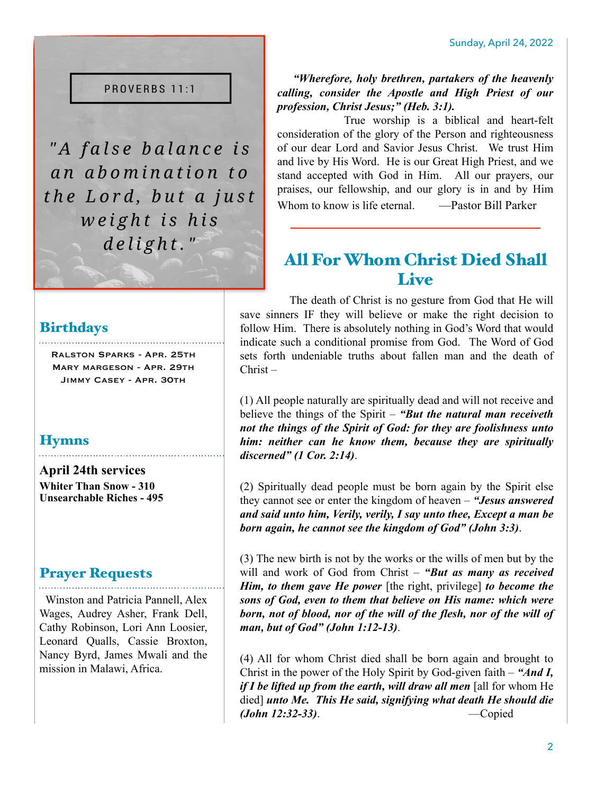#### PROVERBS 11:1

"A false balance is an abomination to the Lord, but a just weight is his delight."

#### **Birthdays**

Ralston Sparks - Apr. 25th Mary margeson - Apr. 29th Jimmy Casey - Apr. 30th

#### **Hymns**

**April 24th services Whiter Than Snow - 310 Unsearchable Riches - 495**

#### Prayer Requests

 Winston and Patricia Pannell, Alex Wages, Audrey Asher, Frank Dell, Cathy Robinson, Lori Ann Loosier, Leonard Qualls, Cassie Broxton, Nancy Byrd, James Mwali and the mission in Malawi, Africa.

 *"Wherefore, holy brethren, partakers of the heavenly calling, consider the Apostle and High Priest of our profession, Christ Jesus;" (Heb. 3:1).*

 True worship is a biblical and heart-felt consideration of the glory of the Person and righteousness of our dear Lord and Savior Jesus Christ. We trust Him and live by His Word. He is our Great High Priest, and we stand accepted with God in Him. All our prayers, our praises, our fellowship, and our glory is in and by Him Whom to know is life eternal. — **Pastor Bill Parker** 

# All For Whom Christ Died Shall **Live**

 The death of Christ is no gesture from God that He will save sinners IF they will believe or make the right decision to follow Him. There is absolutely nothing in God's Word that would indicate such a conditional promise from God. The Word of God sets forth undeniable truths about fallen man and the death of Christ –

(1) All people naturally are spiritually dead and will not receive and believe the things of the Spirit – *"But the natural man receiveth not the things of the Spirit of God: for they are foolishness unto him: neither can he know them, because they are spiritually discerned" (1 Cor. 2:14)*.

(2) Spiritually dead people must be born again by the Spirit else they cannot see or enter the kingdom of heaven – *"Jesus answered and said unto him, Verily, verily, I say unto thee, Except a man be born again, he cannot see the kingdom of God" (John 3:3)*.

(3) The new birth is not by the works or the wills of men but by the will and work of God from Christ – *"But as many as received Him, to them gave He power* [the right, privilege] *to become the sons of God, even to them that believe on His name: which were born, not of blood, nor of the will of the flesh, nor of the will of man, but of God" (John 1:12-13)*.

(4) All for whom Christ died shall be born again and brought to Christ in the power of the Holy Spirit by God-given faith – *"And I, if I be lifted up from the earth, will draw all men* [all for whom He died] *unto Me. This He said, signifying what death He should die (John 12:32-33)*. —Copied